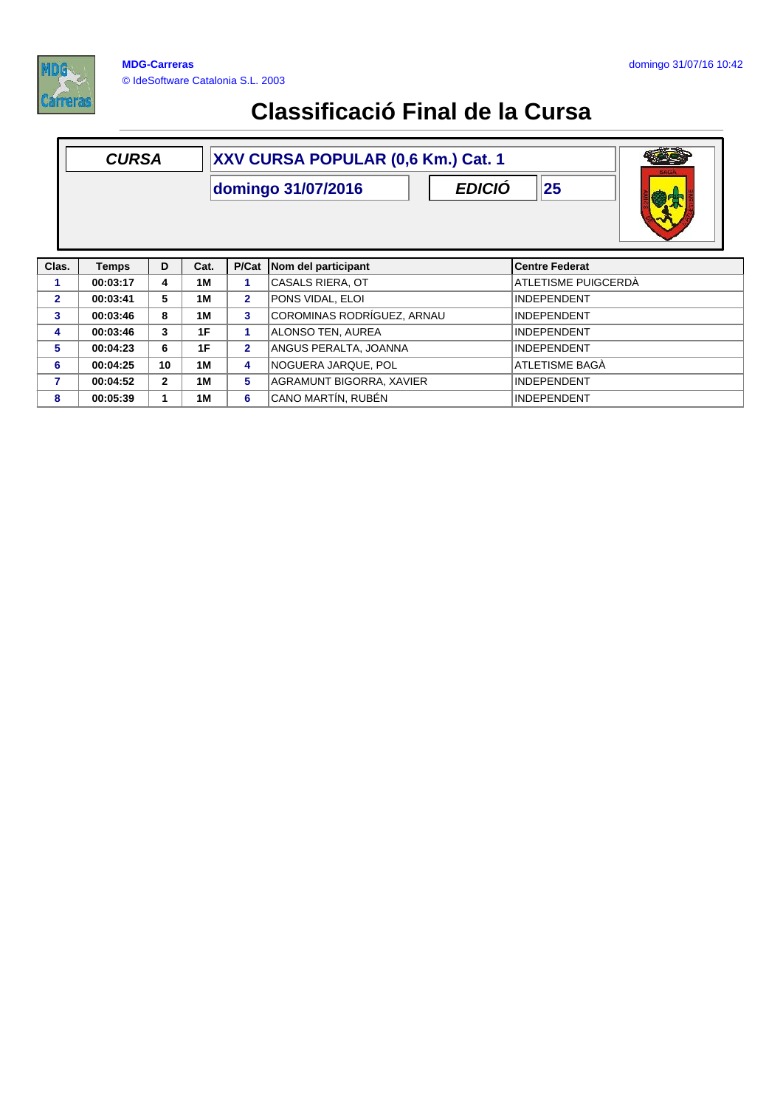



**6 00:04:25 10 1M 4** NOGUERA JARQUE, POL ATLETISME BAGÀ **7 00:04:52 2 1M 5** AGRAMUNT BIGORRA, XAVIER INDEPENDENT **8 00:05:39 1 1M 6** CANO MARTÍN, RUBÉN INDEPENDENT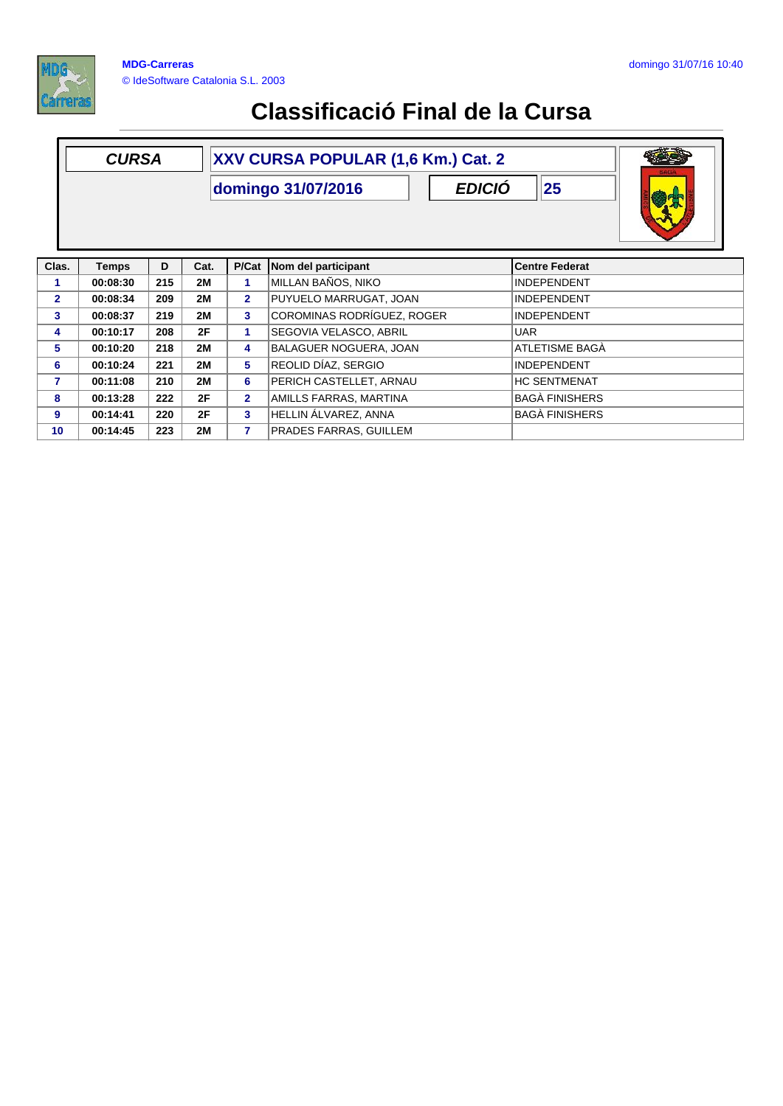

|                | XXV CURSA POPULAR (1,6 Km.) Cat. 2<br><b>CURSA</b><br>25<br><b>EDICIÓ</b><br>domingo 31/07/2016 |     |           |                         |                            |                       |  |
|----------------|-------------------------------------------------------------------------------------------------|-----|-----------|-------------------------|----------------------------|-----------------------|--|
| Clas.          | <b>Temps</b>                                                                                    | D   | Cat.      | P/Cat                   | Nom del participant        | <b>Centre Federat</b> |  |
| 1              | 00:08:30                                                                                        | 215 | <b>2M</b> | 1                       | MILLAN BAÑOS, NIKO         | <b>INDEPENDENT</b>    |  |
| $\overline{2}$ | 00:08:34                                                                                        | 209 | <b>2M</b> | $\overline{2}$          | PUYUELO MARRUGAT, JOAN     | <b>INDEPENDENT</b>    |  |
| 3 <sup>1</sup> | 00:08:37                                                                                        | 219 | <b>2M</b> | $\overline{\mathbf{3}}$ | COROMINAS RODRÍGUEZ, ROGER | <b>INDEPENDENT</b>    |  |
| 4              | 00:10:17                                                                                        | 208 | 2F        | 1                       | SEGOVIA VELASCO, ABRIL     | <b>UAR</b>            |  |
| 5.             | 00:10:20                                                                                        | 218 | <b>2M</b> | 4                       | BALAGUER NOGUERA, JOAN     | ATLETISME BAGA        |  |
| 6              | 00:10:24                                                                                        | 221 | <b>2M</b> | 5                       | REOLID DÍAZ, SERGIO        | <b>INDEPENDENT</b>    |  |
| 7              | 00:11:08                                                                                        | 210 | <b>2M</b> | 6                       | PERICH CASTELLET, ARNAU    | <b>HC SENTMENAT</b>   |  |
| 8              | 00:13:28                                                                                        | 222 | 2F        | $\overline{2}$          | AMILLS FARRAS, MARTINA     | <b>BAGA FINISHERS</b> |  |
| 9              | 00:14:41                                                                                        | 220 | 2F        | 3                       | HELLIN ÁLVAREZ, ANNA       | <b>BAGÀ FINISHERS</b> |  |
| 10             | 00:14:45                                                                                        | 223 | <b>2M</b> | 7                       | PRADES FARRAS, GUILLEM     |                       |  |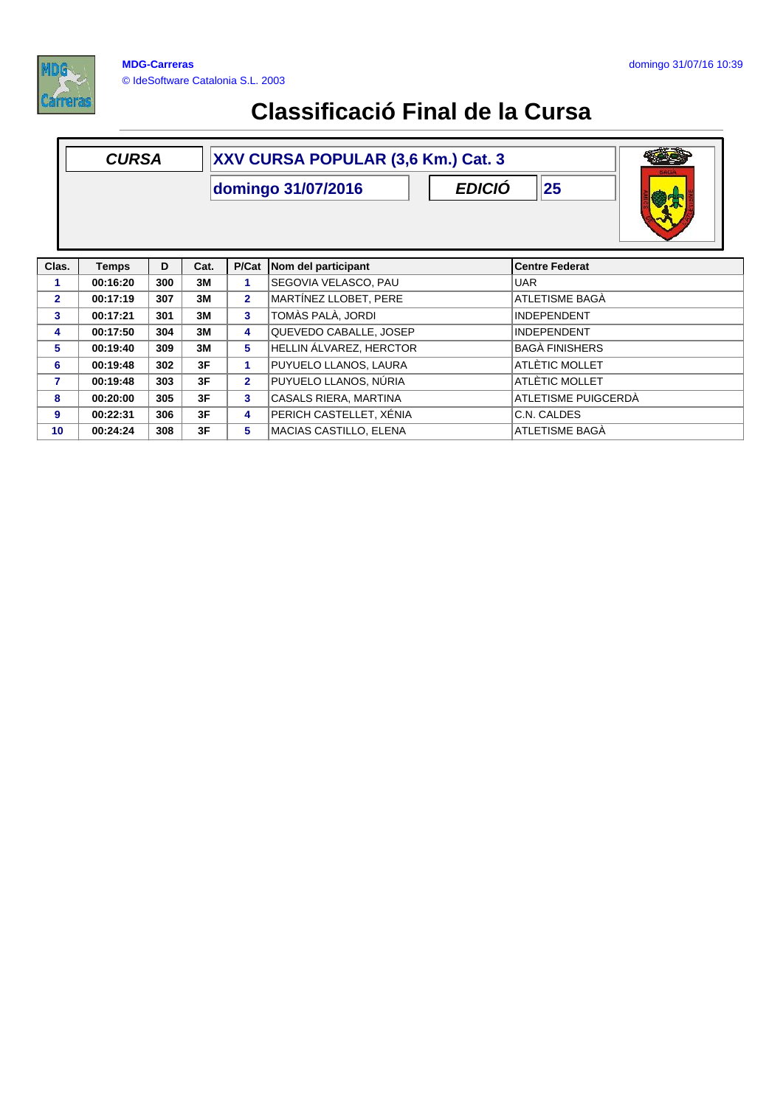

| <b>CURSA</b>   |              |     |                                                 | XXV CURSA POPULAR (3,6 Km.) Cat. 3 |                         |                       |  |  |  |  |
|----------------|--------------|-----|-------------------------------------------------|------------------------------------|-------------------------|-----------------------|--|--|--|--|
|                |              |     | 25<br><b>EDICIÓ</b><br>domingo 31/07/2016<br>晚宋 |                                    |                         |                       |  |  |  |  |
| Clas.          | <b>Temps</b> | D   | Cat.                                            | P/Cat                              | Nom del participant     | <b>Centre Federat</b> |  |  |  |  |
| 1.             | 00:16:20     | 300 | 3M                                              | 1.                                 | SEGOVIA VELASCO, PAU    | <b>UAR</b>            |  |  |  |  |
| $\overline{2}$ | 00:17:19     | 307 | 3M                                              | $\overline{2}$                     | MARTÍNEZ LLOBET, PERE   | ATLETISME BAGÀ        |  |  |  |  |
| $\mathbf{3}$   | 00:17:21     | 301 | 3M                                              | 3                                  | TOMÀS PALÀ, JORDI       | <b>INDEPENDENT</b>    |  |  |  |  |
| 4              | 00:17:50     | 304 | 3M                                              | 4                                  | QUEVEDO CABALLE, JOSEP  | <b>INDEPENDENT</b>    |  |  |  |  |
| 5              | 00:19:40     | 309 | 3M                                              | 5                                  | HELLIN ÁLVAREZ, HERCTOR | <b>BAGÀ FINISHERS</b> |  |  |  |  |
| 6              | 00:19:48     | 302 | 3F                                              | 1.                                 | PUYUELO LLANOS, LAURA   | ATLÈTIC MOLLET        |  |  |  |  |
| 7              | 00:19:48     | 303 | 3F                                              | $\overline{2}$                     | PUYUELO LLANOS, NÚRIA   | ATLÈTIC MOLLET        |  |  |  |  |
| 8              | 00:20:00     | 305 | 3F                                              | 3                                  | CASALS RIERA, MARTINA   | ATLETISME PUIGCERDA   |  |  |  |  |
| 9              | 00:22:31     | 306 | 3F                                              | 4                                  | PERICH CASTELLET, XÉNIA | C.N. CALDES           |  |  |  |  |
| 10             | 00:24:24     | 308 | 3F                                              | 5.                                 | MACIAS CASTILLO, ELENA  | ATLETISME BAGÀ        |  |  |  |  |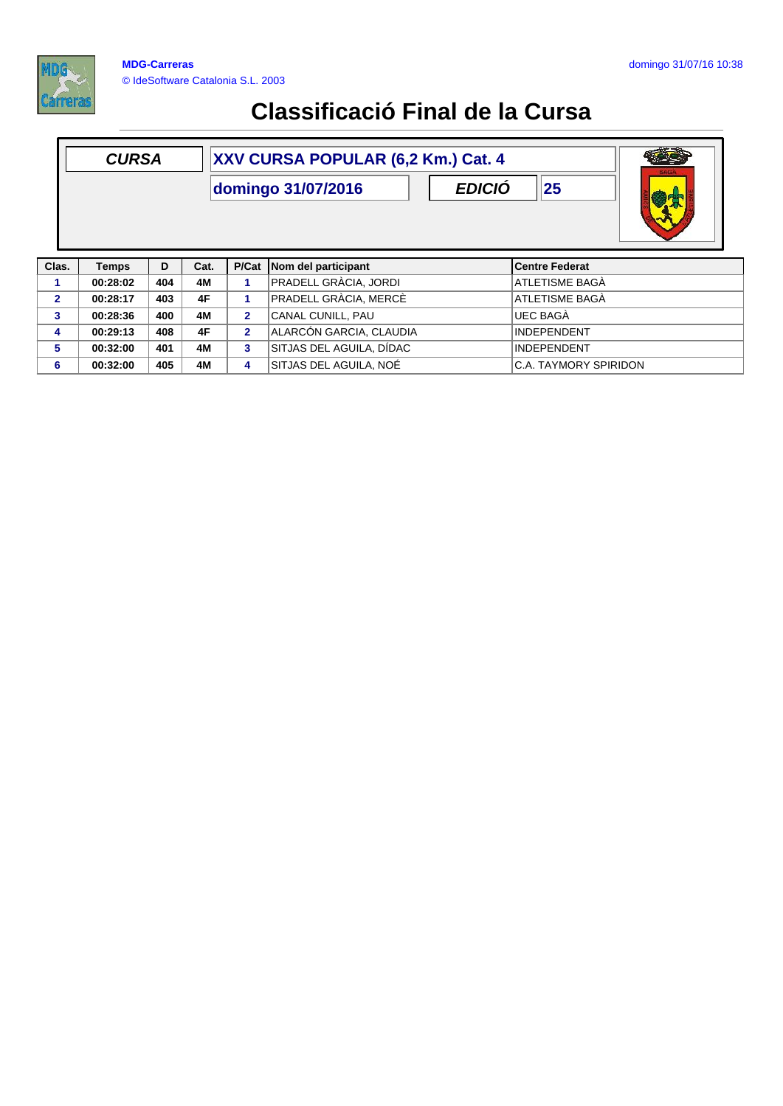

|                | XXV CURSA POPULAR (6,2 Km.) Cat. 4<br><b>CURSA</b><br><b>EDICIÓ</b><br>25<br>domingo 31/07/2016 |     |      |    |                           |  |                       |  |
|----------------|-------------------------------------------------------------------------------------------------|-----|------|----|---------------------------|--|-----------------------|--|
| Clas.          | <b>Temps</b>                                                                                    | D   | Cat. |    | P/Cat Nom del participant |  | <b>Centre Federat</b> |  |
|                | 00:28:02                                                                                        | 404 | 4M   |    | PRADELL GRÀCIA, JORDI     |  | ATLETISME BAGÀ        |  |
| $\overline{2}$ | 00:28:17                                                                                        | 403 | 4F   |    | PRADELL GRÀCIA, MERCÈ     |  | <b>ATLETISME BAGÀ</b> |  |
| 3              | 00:28:36                                                                                        | 400 | 4M   | 2. | CANAL CUNILL, PAU         |  | <b>UEC BAGA</b>       |  |

**4 00:29:13 408 4F 2** ALARCÓN GARCIA, CLAUDIA INDEPENDENT **5 00:32:00 401 4M 3** SITJAS DEL AGUILA, DÍDAC INDEPENDENT

**6 00:32:00 405 4M 4** SITJAS DEL AGUILA, NOÉ C.A. TAYMORY SPIRIDON